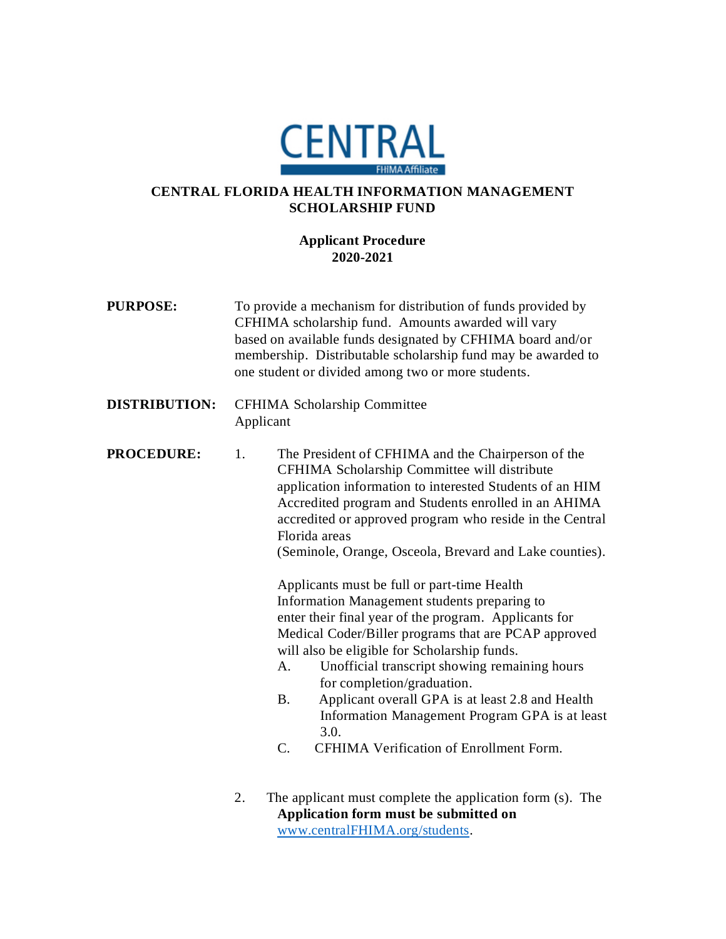

## **CENTRAL FLORIDA HEALTH INFORMATION MANAGEMENT SCHOLARSHIP FUND**

## **Applicant Procedure 2020-2021**

- **PURPOSE:** To provide a mechanism for distribution of funds provided by CFHIMA scholarship fund. Amounts awarded will vary based on available funds designated by CFHIMA board and/or membership. Distributable scholarship fund may be awarded to one student or divided among two or more students. **DISTRIBUTION:** CFHIMA Scholarship Committee Applicant **PROCEDURE:** 1. The President of CFHIMA and the Chairperson of the CFHIMA Scholarship Committee will distribute application information to interested Students of an HIM Accredited program and Students enrolled in an AHIMA accredited or approved program who reside in the Central Florida areas (Seminole, Orange, Osceola, Brevard and Lake counties). Applicants must be full or part-time Health Information Management students preparing to enter their final year of the program. Applicants for Medical Coder/Biller programs that are PCAP approved will also be eligible for Scholarship funds. A. Unofficial transcript showing remaining hours for completion/graduation. B. Applicant overall GPA is at least 2.8 and Health Information Management Program GPA is at least 3.0. C. CFHIMA Verification of Enrollment Form. 2. The applicant must complete the application form (s). The
	- **Application form must be submitted on**  [www.centralFHIMA.org/students.](http://www.centralfhima.org/scholarship-application)